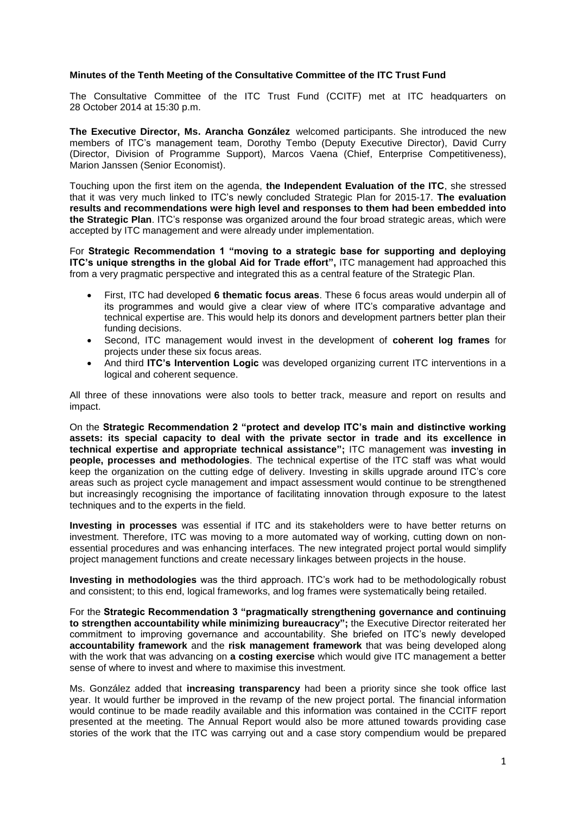### **Minutes of the Tenth Meeting of the Consultative Committee of the ITC Trust Fund**

The Consultative Committee of the ITC Trust Fund (CCITF) met at ITC headquarters on 28 October 2014 at 15:30 p.m.

**The Executive Director, Ms. Arancha González** welcomed participants. She introduced the new members of ITC's management team, Dorothy Tembo (Deputy Executive Director), David Curry (Director, Division of Programme Support), Marcos Vaena (Chief, Enterprise Competitiveness), Marion Janssen (Senior Economist).

Touching upon the first item on the agenda, **the Independent Evaluation of the ITC**, she stressed that it was very much linked to ITC's newly concluded Strategic Plan for 2015-17. **The evaluation results and recommendations were high level and responses to them had been embedded into the Strategic Plan**. ITC's response was organized around the four broad strategic areas, which were accepted by ITC management and were already under implementation.

For **Strategic Recommendation 1 "moving to a strategic base for supporting and deploying ITC's unique strengths in the global Aid for Trade effort",** ITC management had approached this from a very pragmatic perspective and integrated this as a central feature of the Strategic Plan.

- First, ITC had developed **6 thematic focus areas**. These 6 focus areas would underpin all of its programmes and would give a clear view of where ITC's comparative advantage and technical expertise are. This would help its donors and development partners better plan their funding decisions.
- Second, ITC management would invest in the development of **coherent log frames** for projects under these six focus areas.
- And third **ITC's Intervention Logic** was developed organizing current ITC interventions in a logical and coherent sequence.

All three of these innovations were also tools to better track, measure and report on results and impact.

On the **Strategic Recommendation 2 "protect and develop ITC's main and distinctive working assets: its special capacity to deal with the private sector in trade and its excellence in technical expertise and appropriate technical assistance";** ITC management was **investing in people, processes and methodologies**. The technical expertise of the ITC staff was what would keep the organization on the cutting edge of delivery. Investing in skills upgrade around ITC's core areas such as project cycle management and impact assessment would continue to be strengthened but increasingly recognising the importance of facilitating innovation through exposure to the latest techniques and to the experts in the field.

**Investing in processes** was essential if ITC and its stakeholders were to have better returns on investment. Therefore, ITC was moving to a more automated way of working, cutting down on nonessential procedures and was enhancing interfaces. The new integrated project portal would simplify project management functions and create necessary linkages between projects in the house.

**Investing in methodologies** was the third approach. ITC's work had to be methodologically robust and consistent; to this end, logical frameworks, and log frames were systematically being retailed.

For the **Strategic Recommendation 3 "pragmatically strengthening governance and continuing to strengthen accountability while minimizing bureaucracy";** the Executive Director reiterated her commitment to improving governance and accountability. She briefed on ITC's newly developed **accountability framework** and the **risk management framework** that was being developed along with the work that was advancing on **a costing exercise** which would give ITC management a better sense of where to invest and where to maximise this investment.

Ms. González added that **increasing transparency** had been a priority since she took office last year. It would further be improved in the revamp of the new project portal. The financial information would continue to be made readily available and this information was contained in the CCITF report presented at the meeting. The Annual Report would also be more attuned towards providing case stories of the work that the ITC was carrying out and a case story compendium would be prepared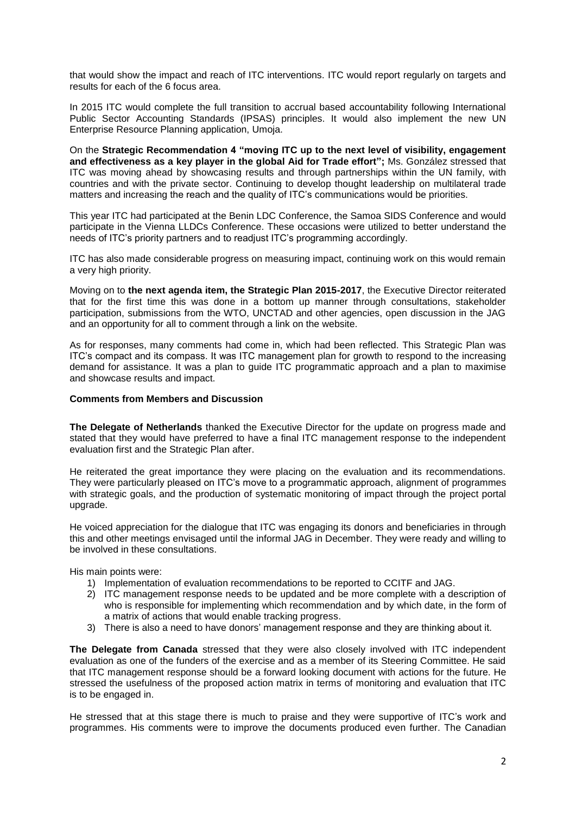that would show the impact and reach of ITC interventions. ITC would report regularly on targets and results for each of the 6 focus area.

In 2015 ITC would complete the full transition to accrual based accountability following International Public Sector Accounting Standards (IPSAS) principles. It would also implement the new UN Enterprise Resource Planning application, Umoja.

On the **Strategic Recommendation 4 "moving ITC up to the next level of visibility, engagement and effectiveness as a key player in the global Aid for Trade effort";** Ms. González stressed that ITC was moving ahead by showcasing results and through partnerships within the UN family, with countries and with the private sector. Continuing to develop thought leadership on multilateral trade matters and increasing the reach and the quality of ITC's communications would be priorities.

This year ITC had participated at the Benin LDC Conference, the Samoa SIDS Conference and would participate in the Vienna LLDCs Conference. These occasions were utilized to better understand the needs of ITC's priority partners and to readjust ITC's programming accordingly.

ITC has also made considerable progress on measuring impact, continuing work on this would remain a very high priority.

Moving on to **the next agenda item, the Strategic Plan 2015-2017**, the Executive Director reiterated that for the first time this was done in a bottom up manner through consultations, stakeholder participation, submissions from the WTO, UNCTAD and other agencies, open discussion in the JAG and an opportunity for all to comment through a link on the website.

As for responses, many comments had come in, which had been reflected. This Strategic Plan was ITC's compact and its compass. It was ITC management plan for growth to respond to the increasing demand for assistance. It was a plan to guide ITC programmatic approach and a plan to maximise and showcase results and impact.

## **Comments from Members and Discussion**

**The Delegate of Netherlands** thanked the Executive Director for the update on progress made and stated that they would have preferred to have a final ITC management response to the independent evaluation first and the Strategic Plan after.

He reiterated the great importance they were placing on the evaluation and its recommendations. They were particularly pleased on ITC's move to a programmatic approach, alignment of programmes with strategic goals, and the production of systematic monitoring of impact through the project portal upgrade.

He voiced appreciation for the dialogue that ITC was engaging its donors and beneficiaries in through this and other meetings envisaged until the informal JAG in December. They were ready and willing to be involved in these consultations.

His main points were:

- 1) Implementation of evaluation recommendations to be reported to CCITF and JAG.
- 2) ITC management response needs to be updated and be more complete with a description of who is responsible for implementing which recommendation and by which date, in the form of a matrix of actions that would enable tracking progress.
- 3) There is also a need to have donors' management response and they are thinking about it.

**The Delegate from Canada** stressed that they were also closely involved with ITC independent evaluation as one of the funders of the exercise and as a member of its Steering Committee. He said that ITC management response should be a forward looking document with actions for the future. He stressed the usefulness of the proposed action matrix in terms of monitoring and evaluation that ITC is to be engaged in.

He stressed that at this stage there is much to praise and they were supportive of ITC's work and programmes. His comments were to improve the documents produced even further. The Canadian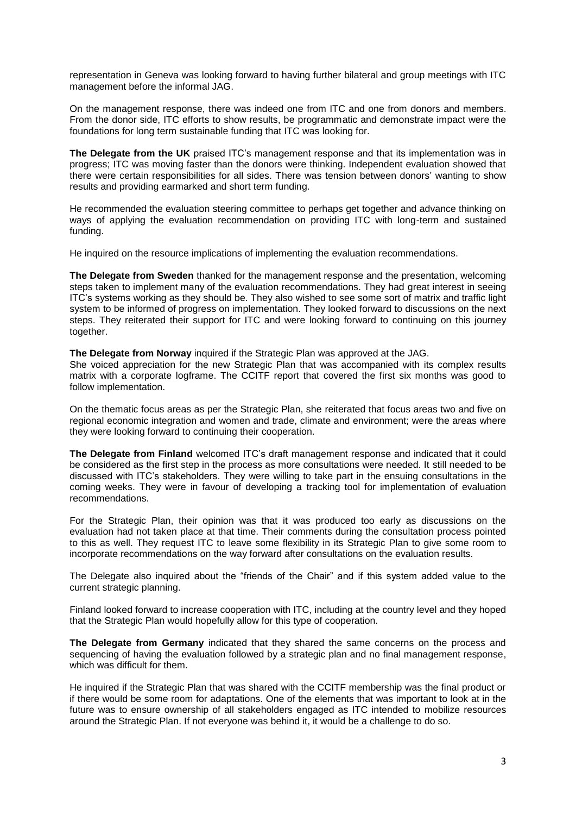representation in Geneva was looking forward to having further bilateral and group meetings with ITC management before the informal JAG.

On the management response, there was indeed one from ITC and one from donors and members. From the donor side, ITC efforts to show results, be programmatic and demonstrate impact were the foundations for long term sustainable funding that ITC was looking for.

**The Delegate from the UK** praised ITC's management response and that its implementation was in progress; ITC was moving faster than the donors were thinking. Independent evaluation showed that there were certain responsibilities for all sides. There was tension between donors' wanting to show results and providing earmarked and short term funding.

He recommended the evaluation steering committee to perhaps get together and advance thinking on ways of applying the evaluation recommendation on providing ITC with long-term and sustained funding.

He inquired on the resource implications of implementing the evaluation recommendations.

**The Delegate from Sweden** thanked for the management response and the presentation, welcoming steps taken to implement many of the evaluation recommendations. They had great interest in seeing ITC's systems working as they should be. They also wished to see some sort of matrix and traffic light system to be informed of progress on implementation. They looked forward to discussions on the next steps. They reiterated their support for ITC and were looking forward to continuing on this journey together.

**The Delegate from Norway** inquired if the Strategic Plan was approved at the JAG.

She voiced appreciation for the new Strategic Plan that was accompanied with its complex results matrix with a corporate logframe. The CCITF report that covered the first six months was good to follow implementation.

On the thematic focus areas as per the Strategic Plan, she reiterated that focus areas two and five on regional economic integration and women and trade, climate and environment; were the areas where they were looking forward to continuing their cooperation.

**The Delegate from Finland** welcomed ITC's draft management response and indicated that it could be considered as the first step in the process as more consultations were needed. It still needed to be discussed with ITC's stakeholders. They were willing to take part in the ensuing consultations in the coming weeks. They were in favour of developing a tracking tool for implementation of evaluation recommendations.

For the Strategic Plan, their opinion was that it was produced too early as discussions on the evaluation had not taken place at that time. Their comments during the consultation process pointed to this as well. They request ITC to leave some flexibility in its Strategic Plan to give some room to incorporate recommendations on the way forward after consultations on the evaluation results.

The Delegate also inquired about the "friends of the Chair" and if this system added value to the current strategic planning.

Finland looked forward to increase cooperation with ITC, including at the country level and they hoped that the Strategic Plan would hopefully allow for this type of cooperation.

**The Delegate from Germany** indicated that they shared the same concerns on the process and sequencing of having the evaluation followed by a strategic plan and no final management response, which was difficult for them.

He inquired if the Strategic Plan that was shared with the CCITF membership was the final product or if there would be some room for adaptations. One of the elements that was important to look at in the future was to ensure ownership of all stakeholders engaged as ITC intended to mobilize resources around the Strategic Plan. If not everyone was behind it, it would be a challenge to do so.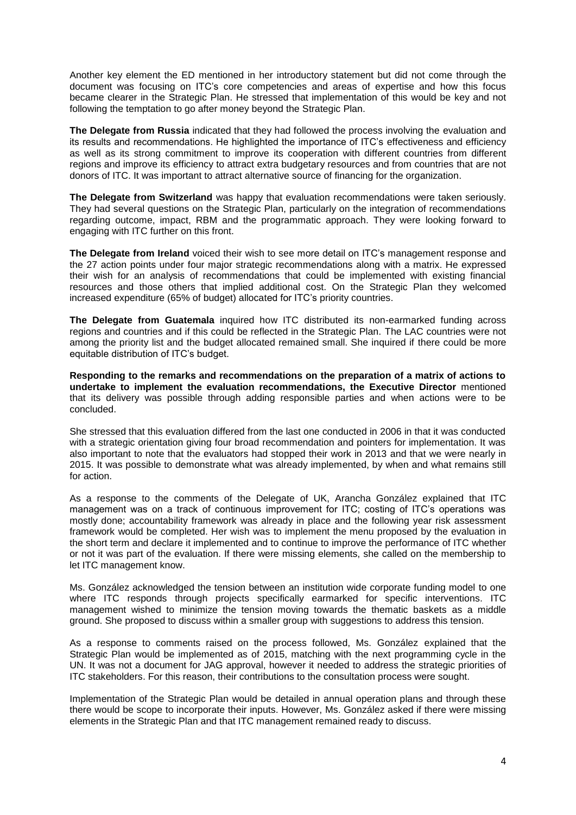Another key element the ED mentioned in her introductory statement but did not come through the document was focusing on ITC's core competencies and areas of expertise and how this focus became clearer in the Strategic Plan. He stressed that implementation of this would be key and not following the temptation to go after money beyond the Strategic Plan.

**The Delegate from Russia** indicated that they had followed the process involving the evaluation and its results and recommendations. He highlighted the importance of ITC's effectiveness and efficiency as well as its strong commitment to improve its cooperation with different countries from different regions and improve its efficiency to attract extra budgetary resources and from countries that are not donors of ITC. It was important to attract alternative source of financing for the organization.

**The Delegate from Switzerland** was happy that evaluation recommendations were taken seriously. They had several questions on the Strategic Plan, particularly on the integration of recommendations regarding outcome, impact, RBM and the programmatic approach. They were looking forward to engaging with ITC further on this front.

**The Delegate from Ireland** voiced their wish to see more detail on ITC's management response and the 27 action points under four major strategic recommendations along with a matrix. He expressed their wish for an analysis of recommendations that could be implemented with existing financial resources and those others that implied additional cost. On the Strategic Plan they welcomed increased expenditure (65% of budget) allocated for ITC's priority countries.

**The Delegate from Guatemala** inquired how ITC distributed its non-earmarked funding across regions and countries and if this could be reflected in the Strategic Plan. The LAC countries were not among the priority list and the budget allocated remained small. She inquired if there could be more equitable distribution of ITC's budget.

**Responding to the remarks and recommendations on the preparation of a matrix of actions to undertake to implement the evaluation recommendations, the Executive Director** mentioned that its delivery was possible through adding responsible parties and when actions were to be concluded.

She stressed that this evaluation differed from the last one conducted in 2006 in that it was conducted with a strategic orientation giving four broad recommendation and pointers for implementation. It was also important to note that the evaluators had stopped their work in 2013 and that we were nearly in 2015. It was possible to demonstrate what was already implemented, by when and what remains still for action.

As a response to the comments of the Delegate of UK, Arancha González explained that ITC management was on a track of continuous improvement for ITC; costing of ITC's operations was mostly done; accountability framework was already in place and the following year risk assessment framework would be completed. Her wish was to implement the menu proposed by the evaluation in the short term and declare it implemented and to continue to improve the performance of ITC whether or not it was part of the evaluation. If there were missing elements, she called on the membership to let ITC management know.

Ms. González acknowledged the tension between an institution wide corporate funding model to one where ITC responds through projects specifically earmarked for specific interventions. ITC management wished to minimize the tension moving towards the thematic baskets as a middle ground. She proposed to discuss within a smaller group with suggestions to address this tension.

As a response to comments raised on the process followed, Ms. González explained that the Strategic Plan would be implemented as of 2015, matching with the next programming cycle in the UN. It was not a document for JAG approval, however it needed to address the strategic priorities of ITC stakeholders. For this reason, their contributions to the consultation process were sought.

Implementation of the Strategic Plan would be detailed in annual operation plans and through these there would be scope to incorporate their inputs. However, Ms. González asked if there were missing elements in the Strategic Plan and that ITC management remained ready to discuss.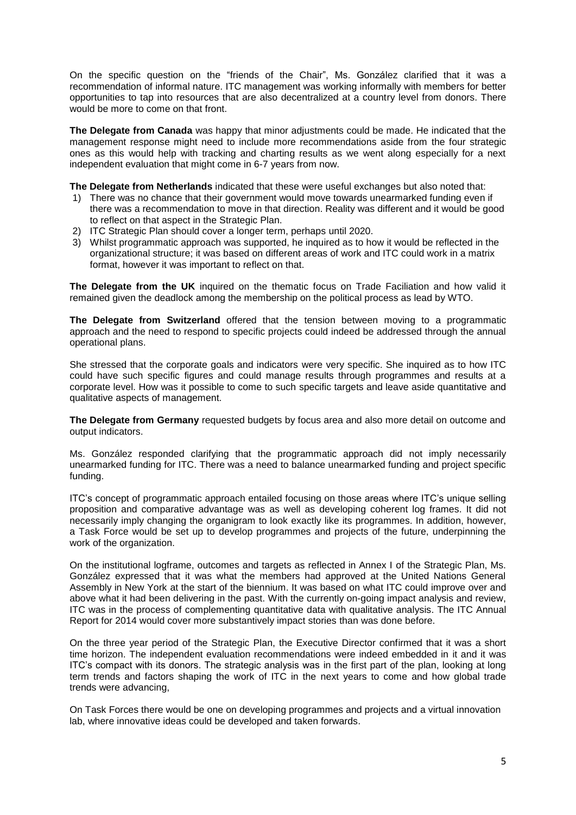On the specific question on the "friends of the Chair", Ms. González clarified that it was a recommendation of informal nature. ITC management was working informally with members for better opportunities to tap into resources that are also decentralized at a country level from donors. There would be more to come on that front.

**The Delegate from Canada** was happy that minor adjustments could be made. He indicated that the management response might need to include more recommendations aside from the four strategic ones as this would help with tracking and charting results as we went along especially for a next independent evaluation that might come in 6-7 years from now.

**The Delegate from Netherlands** indicated that these were useful exchanges but also noted that:

- 1) There was no chance that their government would move towards unearmarked funding even if there was a recommendation to move in that direction. Reality was different and it would be good to reflect on that aspect in the Strategic Plan.
- 2) ITC Strategic Plan should cover a longer term, perhaps until 2020.
- 3) Whilst programmatic approach was supported, he inquired as to how it would be reflected in the organizational structure; it was based on different areas of work and ITC could work in a matrix format, however it was important to reflect on that.

**The Delegate from the UK** inquired on the thematic focus on Trade Faciliation and how valid it remained given the deadlock among the membership on the political process as lead by WTO.

**The Delegate from Switzerland** offered that the tension between moving to a programmatic approach and the need to respond to specific projects could indeed be addressed through the annual operational plans.

She stressed that the corporate goals and indicators were very specific. She inquired as to how ITC could have such specific figures and could manage results through programmes and results at a corporate level. How was it possible to come to such specific targets and leave aside quantitative and qualitative aspects of management.

**The Delegate from Germany** requested budgets by focus area and also more detail on outcome and output indicators.

Ms. González responded clarifying that the programmatic approach did not imply necessarily unearmarked funding for ITC. There was a need to balance unearmarked funding and project specific funding.

ITC's concept of programmatic approach entailed focusing on those areas where ITC's unique selling proposition and comparative advantage was as well as developing coherent log frames. It did not necessarily imply changing the organigram to look exactly like its programmes. In addition, however, a Task Force would be set up to develop programmes and projects of the future, underpinning the work of the organization.

On the institutional logframe, outcomes and targets as reflected in Annex I of the Strategic Plan, Ms. González expressed that it was what the members had approved at the United Nations General Assembly in New York at the start of the biennium. It was based on what ITC could improve over and above what it had been delivering in the past. With the currently on-going impact analysis and review, ITC was in the process of complementing quantitative data with qualitative analysis. The ITC Annual Report for 2014 would cover more substantively impact stories than was done before.

On the three year period of the Strategic Plan, the Executive Director confirmed that it was a short time horizon. The independent evaluation recommendations were indeed embedded in it and it was ITC's compact with its donors. The strategic analysis was in the first part of the plan, looking at long term trends and factors shaping the work of ITC in the next years to come and how global trade trends were advancing,

On Task Forces there would be one on developing programmes and projects and a virtual innovation lab, where innovative ideas could be developed and taken forwards.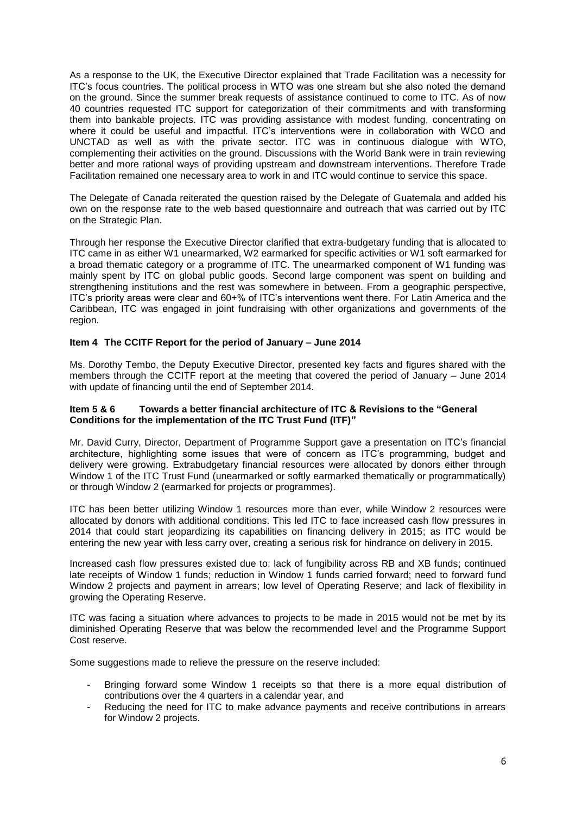As a response to the UK, the Executive Director explained that Trade Facilitation was a necessity for ITC's focus countries. The political process in WTO was one stream but she also noted the demand on the ground. Since the summer break requests of assistance continued to come to ITC. As of now 40 countries requested ITC support for categorization of their commitments and with transforming them into bankable projects. ITC was providing assistance with modest funding, concentrating on where it could be useful and impactful. ITC's interventions were in collaboration with WCO and UNCTAD as well as with the private sector. ITC was in continuous dialogue with WTO, complementing their activities on the ground. Discussions with the World Bank were in train reviewing better and more rational ways of providing upstream and downstream interventions. Therefore Trade Facilitation remained one necessary area to work in and ITC would continue to service this space.

The Delegate of Canada reiterated the question raised by the Delegate of Guatemala and added his own on the response rate to the web based questionnaire and outreach that was carried out by ITC on the Strategic Plan.

Through her response the Executive Director clarified that extra-budgetary funding that is allocated to ITC came in as either W1 unearmarked, W2 earmarked for specific activities or W1 soft earmarked for a broad thematic category or a programme of ITC. The unearmarked component of W1 funding was mainly spent by ITC on global public goods. Second large component was spent on building and strengthening institutions and the rest was somewhere in between. From a geographic perspective, ITC's priority areas were clear and 60+% of ITC's interventions went there. For Latin America and the Caribbean, ITC was engaged in joint fundraising with other organizations and governments of the region.

### **Item 4 The CCITF Report for the period of January – June 2014**

Ms. Dorothy Tembo, the Deputy Executive Director, presented key facts and figures shared with the members through the CCITF report at the meeting that covered the period of January – June 2014 with update of financing until the end of September 2014.

#### **Item 5 & 6 Towards a better financial architecture of ITC & Revisions to the "General Conditions for the implementation of the ITC Trust Fund (ITF)"**

Mr. David Curry, Director, Department of Programme Support gave a presentation on ITC's financial architecture, highlighting some issues that were of concern as ITC's programming, budget and delivery were growing. Extrabudgetary financial resources were allocated by donors either through Window 1 of the ITC Trust Fund (unearmarked or softly earmarked thematically or programmatically) or through Window 2 (earmarked for projects or programmes).

ITC has been better utilizing Window 1 resources more than ever, while Window 2 resources were allocated by donors with additional conditions. This led ITC to face increased cash flow pressures in 2014 that could start jeopardizing its capabilities on financing delivery in 2015; as ITC would be entering the new year with less carry over, creating a serious risk for hindrance on delivery in 2015.

Increased cash flow pressures existed due to: lack of fungibility across RB and XB funds; continued late receipts of Window 1 funds; reduction in Window 1 funds carried forward; need to forward fund Window 2 projects and payment in arrears; low level of Operating Reserve; and lack of flexibility in growing the Operating Reserve.

ITC was facing a situation where advances to projects to be made in 2015 would not be met by its diminished Operating Reserve that was below the recommended level and the Programme Support Cost reserve.

Some suggestions made to relieve the pressure on the reserve included:

- Bringing forward some Window 1 receipts so that there is a more equal distribution of contributions over the 4 quarters in a calendar year, and
- Reducing the need for ITC to make advance payments and receive contributions in arrears for Window 2 projects.